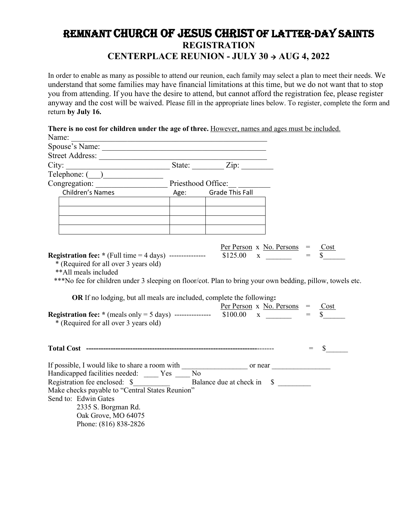## Remnant Church of Jesus Christ of Latter-Day Saints **REGISTRATION CENTERPLACE REUNION - JULY 30 AUG 4, 2022**

In order to enable as many as possible to attend our reunion, each family may select a plan to meet their needs. We understand that some families may have financial limitations at this time, but we do not want that to stop you from attending. If you have the desire to attend, but cannot afford the registration fee, please register anyway and the cost will be waived. Please fill in the appropriate lines below. To register, complete the form and return **by July 16.**

| There is no cost for children under the age of three. However, names and ages must be included.<br>Name:                                                                                                                                                                                                                                                                                                                                                                 |  |  |         |
|--------------------------------------------------------------------------------------------------------------------------------------------------------------------------------------------------------------------------------------------------------------------------------------------------------------------------------------------------------------------------------------------------------------------------------------------------------------------------|--|--|---------|
| <u> 1980 - Johann Stein, marwolaethau a bhann an t-Amhain an t-Amhain an t-Amhain an t-Amhain an t-Amhain an t-A</u>                                                                                                                                                                                                                                                                                                                                                     |  |  |         |
| Spouse's Name:                                                                                                                                                                                                                                                                                                                                                                                                                                                           |  |  |         |
|                                                                                                                                                                                                                                                                                                                                                                                                                                                                          |  |  |         |
|                                                                                                                                                                                                                                                                                                                                                                                                                                                                          |  |  |         |
|                                                                                                                                                                                                                                                                                                                                                                                                                                                                          |  |  |         |
| Children's Names<br>2021 - Age: Grade This Fall                                                                                                                                                                                                                                                                                                                                                                                                                          |  |  |         |
|                                                                                                                                                                                                                                                                                                                                                                                                                                                                          |  |  |         |
|                                                                                                                                                                                                                                                                                                                                                                                                                                                                          |  |  |         |
|                                                                                                                                                                                                                                                                                                                                                                                                                                                                          |  |  |         |
| <u> 1989 - Johann Stoff, Amerikaansk politiker († 1908)</u><br>the contract of the contract of the contract of the contract of the contract of                                                                                                                                                                                                                                                                                                                           |  |  |         |
|                                                                                                                                                                                                                                                                                                                                                                                                                                                                          |  |  |         |
| * (Required for all over 3 years old)<br>** All meals included<br>***No fee for children under 3 sleeping on floor/cot. Plan to bring your own bedding, pillow, towels etc.<br>OR If no lodging, but all meals are included, complete the following:<br><b>Registration fee:</b> * (meals only = 5 days) ---------------- $\frac{\text{Per Person}}{\$100.00}$ x $\frac{\text{No. Persons}}{\text{N}} = \frac{\text{Cost}}{\$}$<br>* (Required for all over 3 years old) |  |  |         |
|                                                                                                                                                                                                                                                                                                                                                                                                                                                                          |  |  | $s$ $-$ |
| If possible, I would like to share a room with $\frac{1}{\sqrt{1-\frac{1}{\sqrt{1-\frac{1}{\sqrt{1-\frac{1}{\sqrt{1-\frac{1}{\sqrt{1-\frac{1}{\sqrt{1-\frac{1}{\sqrt{1-\frac{1}{\sqrt{1-\frac{1}{\sqrt{1-\frac{1}{\sqrt{1-\frac{1}{\sqrt{1-\frac{1}{\sqrt{1-\frac{1}{\sqrt{1-\frac{1}{\sqrt{1-\frac{1}{\sqrt{1-\frac{1}{\sqrt{1-\frac{1}{\sqrt{1-\frac{1}{\sqrt{1-\frac{1}{\sqrt{1-\frac$                                                                                |  |  |         |
| Handicapped facilities needed: _____ Yes ____ No                                                                                                                                                                                                                                                                                                                                                                                                                         |  |  |         |
|                                                                                                                                                                                                                                                                                                                                                                                                                                                                          |  |  |         |
| Make checks payable to "Central States Reunion"                                                                                                                                                                                                                                                                                                                                                                                                                          |  |  |         |
| Send to: Edwin Gates                                                                                                                                                                                                                                                                                                                                                                                                                                                     |  |  |         |
| 2335 S. Borgman Rd.                                                                                                                                                                                                                                                                                                                                                                                                                                                      |  |  |         |
| Oak Grove, MO 64075<br>Phone: (816) 838-2826                                                                                                                                                                                                                                                                                                                                                                                                                             |  |  |         |
|                                                                                                                                                                                                                                                                                                                                                                                                                                                                          |  |  |         |